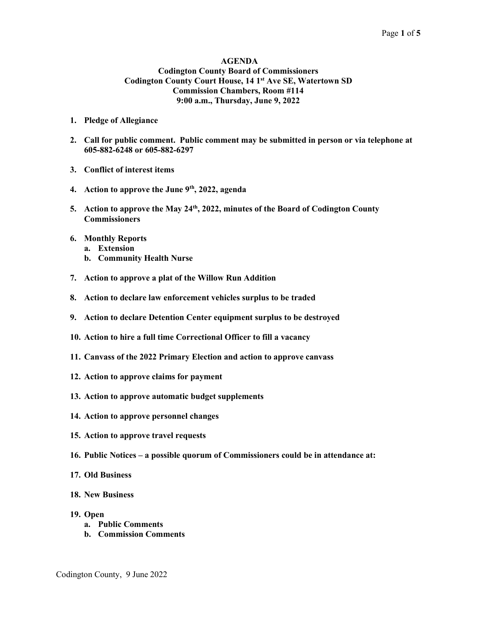### AGENDA Codington County Board of Commissioners Codington County Court House, 14 1<sup>st</sup> Ave SE, Watertown SD Commission Chambers, Room #114 9:00 a.m., Thursday, June 9, 2022

- 1. Pledge of Allegiance
- 2. Call for public comment. Public comment may be submitted in person or via telephone at 605-882-6248 or 605-882-6297
- 3. Conflict of interest items
- 4. Action to approve the June  $9<sup>th</sup>$ , 2022, agenda
- 5. Action to approve the May 24<sup>th</sup>, 2022, minutes of the Board of Codington County **Commissioners**
- 6. Monthly Reports
	- a. Extension
	- b. Community Health Nurse
- 7. Action to approve a plat of the Willow Run Addition
- 8. Action to declare law enforcement vehicles surplus to be traded
- 9. Action to declare Detention Center equipment surplus to be destroyed
- 10. Action to hire a full time Correctional Officer to fill a vacancy
- 11. Canvass of the 2022 Primary Election and action to approve canvass
- 12. Action to approve claims for payment
- 13. Action to approve automatic budget supplements
- 14. Action to approve personnel changes
- 15. Action to approve travel requests
- 16. Public Notices a possible quorum of Commissioners could be in attendance at:
- 17. Old Business
- 18. New Business
- 19. Open
	- a. Public Comments
	- b. Commission Comments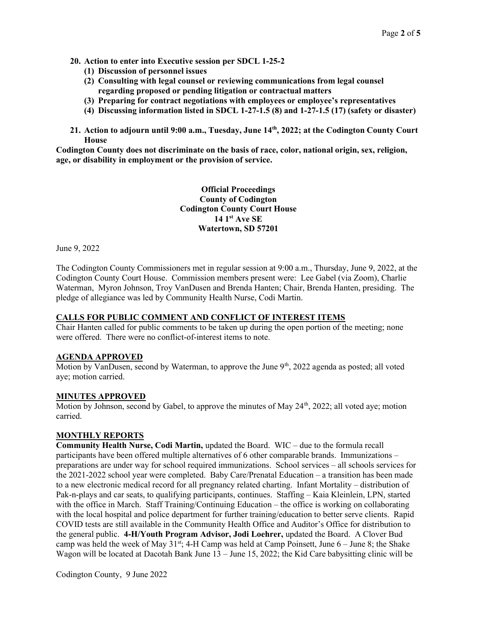- 20. Action to enter into Executive session per SDCL 1-25-2
	- (1) Discussion of personnel issues
	- (2) Consulting with legal counsel or reviewing communications from legal counsel regarding proposed or pending litigation or contractual matters
	- (3) Preparing for contract negotiations with employees or employee's representatives
	- (4) Discussing information listed in SDCL 1-27-1.5 (8) and 1-27-1.5 (17) (safety or disaster)
- 21. Action to adjourn until 9:00 a.m., Tuesday, June 14th, 2022; at the Codington County Court House

Codington County does not discriminate on the basis of race, color, national origin, sex, religion, age, or disability in employment or the provision of service.

> Official Proceedings County of Codington Codington County Court House 14 1st Ave SE Watertown, SD 57201

June 9, 2022

The Codington County Commissioners met in regular session at 9:00 a.m., Thursday, June 9, 2022, at the Codington County Court House. Commission members present were: Lee Gabel (via Zoom), Charlie Waterman, Myron Johnson, Troy VanDusen and Brenda Hanten; Chair, Brenda Hanten, presiding. The pledge of allegiance was led by Community Health Nurse, Codi Martin.

### CALLS FOR PUBLIC COMMENT AND CONFLICT OF INTEREST ITEMS

Chair Hanten called for public comments to be taken up during the open portion of the meeting; none were offered. There were no conflict-of-interest items to note.

## AGENDA APPROVED

Motion by VanDusen, second by Waterman, to approve the June  $9<sup>th</sup>$ , 2022 agenda as posted; all voted aye; motion carried.

### MINUTES APPROVED

Motion by Johnson, second by Gabel, to approve the minutes of May 24<sup>th</sup>, 2022; all voted aye; motion carried.

### MONTHLY REPORTS

Community Health Nurse, Codi Martin, updated the Board. WIC – due to the formula recall participants have been offered multiple alternatives of 6 other comparable brands. Immunizations – preparations are under way for school required immunizations. School services – all schools services for the 2021-2022 school year were completed. Baby Care/Prenatal Education – a transition has been made to a new electronic medical record for all pregnancy related charting. Infant Mortality – distribution of Pak-n-plays and car seats, to qualifying participants, continues. Staffing – Kaia Kleinlein, LPN, started with the office in March. Staff Training/Continuing Education – the office is working on collaborating with the local hospital and police department for further training/education to better serve clients. Rapid COVID tests are still available in the Community Health Office and Auditor's Office for distribution to the general public. 4-H/Youth Program Advisor, Jodi Loehrer, updated the Board. A Clover Bud camp was held the week of May  $31^{st}$ ; 4-H Camp was held at Camp Poinsett, June 6 – June 8; the Shake Wagon will be located at Dacotah Bank June 13 – June 15, 2022; the Kid Care babysitting clinic will be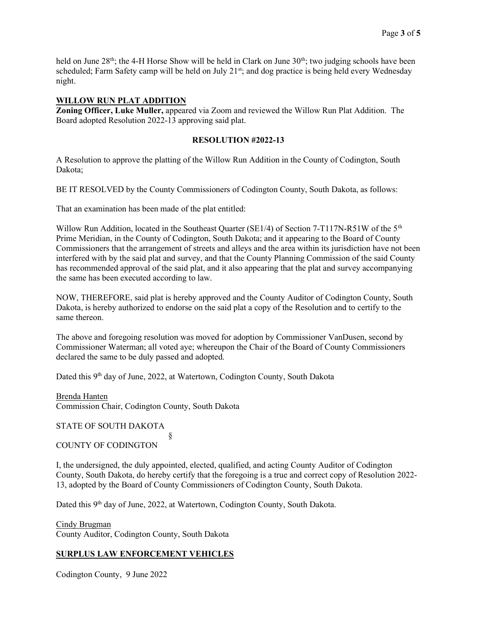held on June  $28<sup>th</sup>$ ; the 4-H Horse Show will be held in Clark on June  $30<sup>th</sup>$ ; two judging schools have been scheduled; Farm Safety camp will be held on July 21<sup>st</sup>; and dog practice is being held every Wednesday night.

## WILLOW RUN PLAT ADDITION

Zoning Officer, Luke Muller, appeared via Zoom and reviewed the Willow Run Plat Addition. The Board adopted Resolution 2022-13 approving said plat.

## RESOLUTION #2022-13

A Resolution to approve the platting of the Willow Run Addition in the County of Codington, South Dakota;

BE IT RESOLVED by the County Commissioners of Codington County, South Dakota, as follows:

That an examination has been made of the plat entitled:

Willow Run Addition, located in the Southeast Quarter (SE1/4) of Section 7-T117N-R51W of the  $5<sup>th</sup>$ Prime Meridian, in the County of Codington, South Dakota; and it appearing to the Board of County Commissioners that the arrangement of streets and alleys and the area within its jurisdiction have not been interfered with by the said plat and survey, and that the County Planning Commission of the said County has recommended approval of the said plat, and it also appearing that the plat and survey accompanying the same has been executed according to law.

NOW, THEREFORE, said plat is hereby approved and the County Auditor of Codington County, South Dakota, is hereby authorized to endorse on the said plat a copy of the Resolution and to certify to the same thereon.

The above and foregoing resolution was moved for adoption by Commissioner VanDusen, second by Commissioner Waterman; all voted aye; whereupon the Chair of the Board of County Commissioners declared the same to be duly passed and adopted.

Dated this 9<sup>th</sup> day of June, 2022, at Watertown, Codington County, South Dakota

Brenda Hanten Commission Chair, Codington County, South Dakota

STATE OF SOUTH DAKOTA

### § COUNTY OF CODINGTON

I, the undersigned, the duly appointed, elected, qualified, and acting County Auditor of Codington County, South Dakota, do hereby certify that the foregoing is a true and correct copy of Resolution 2022- 13, adopted by the Board of County Commissioners of Codington County, South Dakota.

Dated this 9<sup>th</sup> day of June, 2022, at Watertown, Codington County, South Dakota.

Cindy Brugman County Auditor, Codington County, South Dakota

# SURPLUS LAW ENFORCEMENT VEHICLES

Codington County, 9 June 2022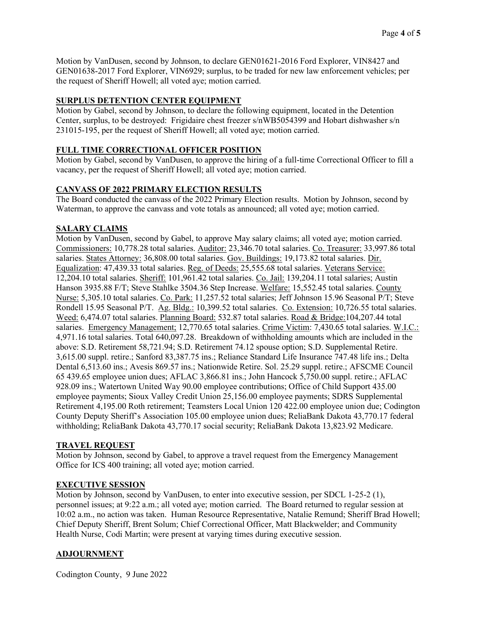Motion by VanDusen, second by Johnson, to declare GEN01621-2016 Ford Explorer, VIN8427 and GEN01638-2017 Ford Explorer, VIN6929; surplus, to be traded for new law enforcement vehicles; per the request of Sheriff Howell; all voted aye; motion carried.

# SURPLUS DETENTION CENTER EQUIPMENT

Motion by Gabel, second by Johnson, to declare the following equipment, located in the Detention Center, surplus, to be destroyed: Frigidaire chest freezer s/nWB5054399 and Hobart dishwasher s/n 231015-195, per the request of Sheriff Howell; all voted aye; motion carried.

# FULL TIME CORRECTIONAL OFFICER POSITION

Motion by Gabel, second by VanDusen, to approve the hiring of a full-time Correctional Officer to fill a vacancy, per the request of Sheriff Howell; all voted aye; motion carried.

### CANVASS OF 2022 PRIMARY ELECTION RESULTS

The Board conducted the canvass of the 2022 Primary Election results. Motion by Johnson, second by Waterman, to approve the canvass and vote totals as announced; all voted aye; motion carried.

# SALARY CLAIMS

Motion by VanDusen, second by Gabel, to approve May salary claims; all voted aye; motion carried. Commissioners: 10,778.28 total salaries. Auditor: 23,346.70 total salaries. Co. Treasurer: 33,997.86 total salaries. States Attorney: 36,808.00 total salaries. Gov. Buildings: 19,173.82 total salaries. Dir. Equalization: 47,439.33 total salaries. Reg. of Deeds: 25,555.68 total salaries. Veterans Service: 12,204.10 total salaries. Sheriff: 101,961.42 total salaries. Co. Jail: 139,204.11 total salaries; Austin Hanson 3935.88 F/T; Steve Stahlke 3504.36 Step Increase. Welfare: 15,552.45 total salaries. County Nurse: 5,305.10 total salaries. Co. Park: 11,257.52 total salaries; Jeff Johnson 15.96 Seasonal P/T; Steve Rondell 15.95 Seasonal P/T. Ag. Bldg.: 10,399.52 total salaries. Co. Extension: 10,726.55 total salaries. Weed: 6,474.07 total salaries. Planning Board: 532.87 total salaries. Road & Bridge:104,207.44 total salaries. Emergency Management; 12,770.65 total salaries. Crime Victim: 7,430.65 total salaries. W.I.C.: 4,971.16 total salaries. Total 640,097.28. Breakdown of withholding amounts which are included in the above: S.D. Retirement 58,721.94; S.D. Retirement 74.12 spouse option; S.D. Supplemental Retire. 3,615.00 suppl. retire.; Sanford 83,387.75 ins.; Reliance Standard Life Insurance 747.48 life ins.; Delta Dental 6,513.60 ins.; Avesis 869.57 ins.; Nationwide Retire. Sol. 25.29 suppl. retire.; AFSCME Council 65 439.65 employee union dues; AFLAC 3,866.81 ins.; John Hancock 5,750.00 suppl. retire.; AFLAC 928.09 ins.; Watertown United Way 90.00 employee contributions; Office of Child Support 435.00 employee payments; Sioux Valley Credit Union 25,156.00 employee payments; SDRS Supplemental Retirement 4,195.00 Roth retirement; Teamsters Local Union 120 422.00 employee union due; Codington County Deputy Sheriff's Association 105.00 employee union dues; ReliaBank Dakota 43,770.17 federal withholding; ReliaBank Dakota 43,770.17 social security; ReliaBank Dakota 13,823.92 Medicare.

### TRAVEL REQUEST

Motion by Johnson, second by Gabel, to approve a travel request from the Emergency Management Office for ICS 400 training; all voted aye; motion carried.

### EXECUTIVE SESSION

Motion by Johnson, second by VanDusen, to enter into executive session, per SDCL 1-25-2 (1), personnel issues; at 9:22 a.m.; all voted aye; motion carried. The Board returned to regular session at 10:02 a.m., no action was taken. Human Resource Representative, Natalie Remund; Sheriff Brad Howell; Chief Deputy Sheriff, Brent Solum; Chief Correctional Officer, Matt Blackwelder; and Community Health Nurse, Codi Martin; were present at varying times during executive session.

# ADJOURNMENT

Codington County, 9 June 2022